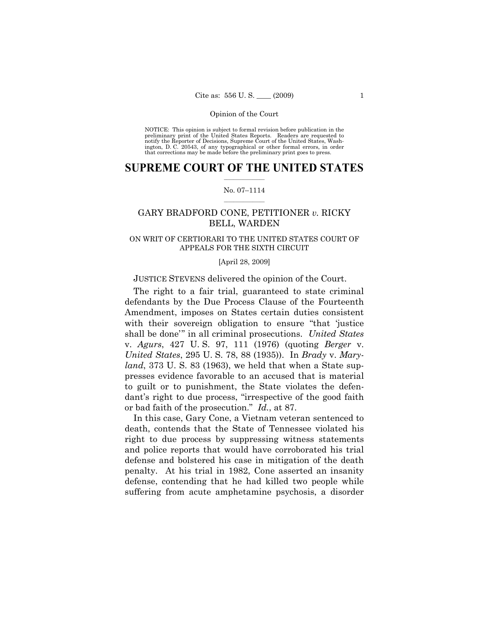NOTICE: This opinion is subject to formal revision before publication in the preliminary print of the United States Reports. Readers are requested to notify the Reporter of Decisions, Supreme Court of the United States, Washington, D. C. 20543, of any typographical or other formal errors, in order that corrections may be made before the preliminary print goes to press.

# **SUPREME COURT OF THE UNITED STATES**  $\frac{1}{2}$  ,  $\frac{1}{2}$  ,  $\frac{1}{2}$  ,  $\frac{1}{2}$  ,  $\frac{1}{2}$  ,  $\frac{1}{2}$  ,  $\frac{1}{2}$

# No. 07–1114  $\frac{1}{2}$  ,  $\frac{1}{2}$  ,  $\frac{1}{2}$  ,  $\frac{1}{2}$  ,  $\frac{1}{2}$  ,  $\frac{1}{2}$

# GARY BRADFORD CONE, PETITIONER *v.* RICKY BELL, WARDEN

# ON WRIT OF CERTIORARI TO THE UNITED STATES COURT OF APPEALS FOR THE SIXTH CIRCUIT

# [April 28, 2009]

# JUSTICE STEVENS delivered the opinion of the Court.

 The right to a fair trial, guaranteed to state criminal defendants by the Due Process Clause of the Fourteenth Amendment, imposes on States certain duties consistent with their sovereign obligation to ensure "that 'justice shall be done'" in all criminal prosecutions. *United States* v. *Agurs*, 427 U. S. 97, 111 (1976) (quoting *Berger* v. *United States*, 295 U. S. 78, 88 (1935)). In *Brady* v. *Maryland*, 373 U. S. 83 (1963), we held that when a State suppresses evidence favorable to an accused that is material to guilt or to punishment, the State violates the defendant's right to due process, "irrespective of the good faith or bad faith of the prosecution." *Id.*, at 87.

 In this case, Gary Cone, a Vietnam veteran sentenced to death, contends that the State of Tennessee violated his right to due process by suppressing witness statements and police reports that would have corroborated his trial defense and bolstered his case in mitigation of the death penalty. At his trial in 1982, Cone asserted an insanity defense, contending that he had killed two people while suffering from acute amphetamine psychosis, a disorder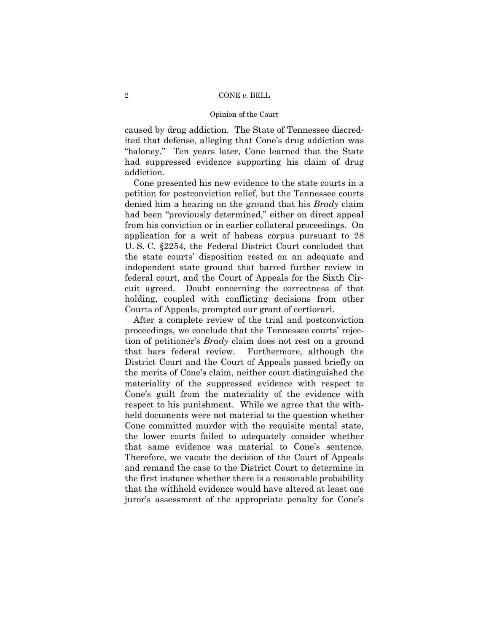caused by drug addiction. The State of Tennessee discredited that defense, alleging that Cone's drug addiction was "baloney." Ten years later, Cone learned that the State had suppressed evidence supporting his claim of drug addiction.

 Cone presented his new evidence to the state courts in a petition for postconviction relief, but the Tennessee courts denied him a hearing on the ground that his *Brady* claim had been "previously determined," either on direct appeal from his conviction or in earlier collateral proceedings. On application for a writ of habeas corpus pursuant to 28 U. S. C. §2254, the Federal District Court concluded that the state courts' disposition rested on an adequate and independent state ground that barred further review in federal court, and the Court of Appeals for the Sixth Circuit agreed. Doubt concerning the correctness of that holding, coupled with conflicting decisions from other Courts of Appeals, prompted our grant of certiorari.

 After a complete review of the trial and postconviction proceedings, we conclude that the Tennessee courts' rejection of petitioner's *Brady* claim does not rest on a ground that bars federal review. Furthermore, although the District Court and the Court of Appeals passed briefly on the merits of Cone's claim, neither court distinguished the materiality of the suppressed evidence with respect to Cone's guilt from the materiality of the evidence with respect to his punishment. While we agree that the withheld documents were not material to the question whether Cone committed murder with the requisite mental state, the lower courts failed to adequately consider whether that same evidence was material to Cone's sentence. Therefore, we vacate the decision of the Court of Appeals and remand the case to the District Court to determine in the first instance whether there is a reasonable probability that the withheld evidence would have altered at least one juror's assessment of the appropriate penalty for Cone's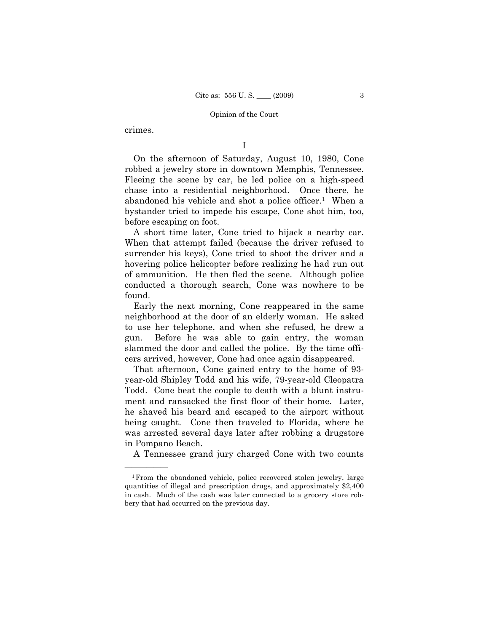crimes.

——————

I

 On the afternoon of Saturday, August 10, 1980, Cone robbed a jewelry store in downtown Memphis, Tennessee. Fleeing the scene by car, he led police on a high-speed chase into a residential neighborhood. Once there, he abandoned his vehicle and shot a police officer.1 When a bystander tried to impede his escape, Cone shot him, too, before escaping on foot.

 A short time later, Cone tried to hijack a nearby car. When that attempt failed (because the driver refused to surrender his keys), Cone tried to shoot the driver and a hovering police helicopter before realizing he had run out of ammunition. He then fled the scene. Although police conducted a thorough search, Cone was nowhere to be found.

 Early the next morning, Cone reappeared in the same neighborhood at the door of an elderly woman. He asked to use her telephone, and when she refused, he drew a gun. Before he was able to gain entry, the woman slammed the door and called the police. By the time officers arrived, however, Cone had once again disappeared.

 That afternoon, Cone gained entry to the home of 93 year-old Shipley Todd and his wife, 79-year-old Cleopatra Todd. Cone beat the couple to death with a blunt instrument and ransacked the first floor of their home. Later, he shaved his beard and escaped to the airport without being caught. Cone then traveled to Florida, where he was arrested several days later after robbing a drugstore in Pompano Beach.

A Tennessee grand jury charged Cone with two counts

<sup>1</sup>From the abandoned vehicle, police recovered stolen jewelry, large quantities of illegal and prescription drugs, and approximately \$2,400 in cash. Much of the cash was later connected to a grocery store robbery that had occurred on the previous day.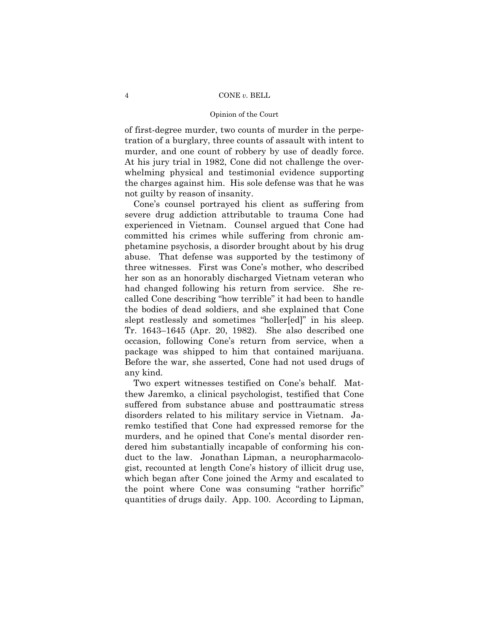# Opinion of the Court

of first-degree murder, two counts of murder in the perpetration of a burglary, three counts of assault with intent to murder, and one count of robbery by use of deadly force. At his jury trial in 1982, Cone did not challenge the overwhelming physical and testimonial evidence supporting the charges against him. His sole defense was that he was not guilty by reason of insanity.

 Cone's counsel portrayed his client as suffering from severe drug addiction attributable to trauma Cone had experienced in Vietnam. Counsel argued that Cone had committed his crimes while suffering from chronic amphetamine psychosis, a disorder brought about by his drug abuse. That defense was supported by the testimony of three witnesses. First was Cone's mother, who described her son as an honorably discharged Vietnam veteran who had changed following his return from service. She recalled Cone describing "how terrible" it had been to handle the bodies of dead soldiers, and she explained that Cone slept restlessly and sometimes "holler[ed]" in his sleep. Tr. 1643–1645 (Apr. 20, 1982). She also described one occasion, following Cone's return from service, when a package was shipped to him that contained marijuana. Before the war, she asserted, Cone had not used drugs of any kind.

 Two expert witnesses testified on Cone's behalf. Matthew Jaremko, a clinical psychologist, testified that Cone suffered from substance abuse and posttraumatic stress disorders related to his military service in Vietnam. Jaremko testified that Cone had expressed remorse for the murders, and he opined that Cone's mental disorder rendered him substantially incapable of conforming his conduct to the law. Jonathan Lipman, a neuropharmacologist, recounted at length Cone's history of illicit drug use, which began after Cone joined the Army and escalated to the point where Cone was consuming "rather horrific" quantities of drugs daily. App. 100. According to Lipman,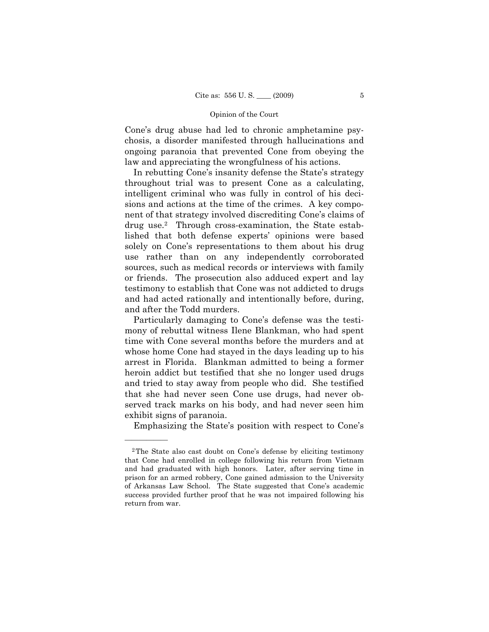Cone's drug abuse had led to chronic amphetamine psychosis, a disorder manifested through hallucinations and ongoing paranoia that prevented Cone from obeying the law and appreciating the wrongfulness of his actions.

 In rebutting Cone's insanity defense the State's strategy throughout trial was to present Cone as a calculating, intelligent criminal who was fully in control of his decisions and actions at the time of the crimes. A key component of that strategy involved discrediting Cone's claims of drug use.2 Through cross-examination, the State established that both defense experts' opinions were based solely on Cone's representations to them about his drug use rather than on any independently corroborated sources, such as medical records or interviews with family or friends. The prosecution also adduced expert and lay testimony to establish that Cone was not addicted to drugs and had acted rationally and intentionally before, during, and after the Todd murders.

 Particularly damaging to Cone's defense was the testimony of rebuttal witness Ilene Blankman, who had spent time with Cone several months before the murders and at whose home Cone had stayed in the days leading up to his arrest in Florida. Blankman admitted to being a former heroin addict but testified that she no longer used drugs and tried to stay away from people who did. She testified that she had never seen Cone use drugs, had never observed track marks on his body, and had never seen him exhibit signs of paranoia.

Emphasizing the State's position with respect to Cone's

<sup>2</sup>The State also cast doubt on Cone's defense by eliciting testimony that Cone had enrolled in college following his return from Vietnam and had graduated with high honors. Later, after serving time in prison for an armed robbery, Cone gained admission to the University of Arkansas Law School. The State suggested that Cone's academic success provided further proof that he was not impaired following his return from war.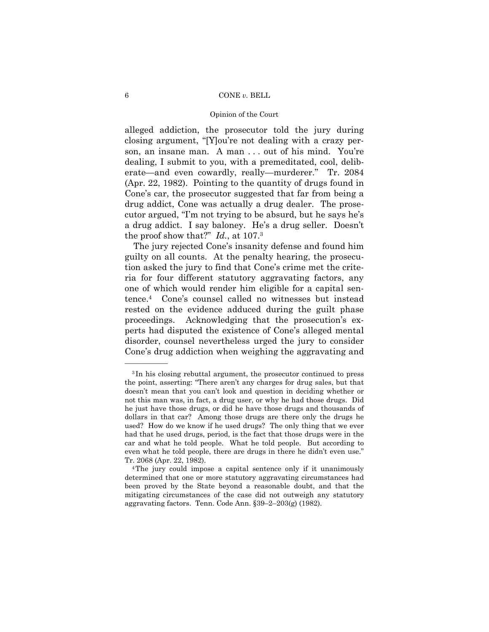# Opinion of the Court

alleged addiction, the prosecutor told the jury during closing argument, "[Y]ou're not dealing with a crazy person, an insane man. A man . . . out of his mind. You're dealing, I submit to you, with a premeditated, cool, deliberate—and even cowardly, really—murderer." Tr. 2084 (Apr. 22, 1982). Pointing to the quantity of drugs found in Cone's car, the prosecutor suggested that far from being a drug addict, Cone was actually a drug dealer. The prosecutor argued, "I'm not trying to be absurd, but he says he's a drug addict. I say baloney. He's a drug seller. Doesn't the proof show that?" *Id.*, at 107.3

 The jury rejected Cone's insanity defense and found him guilty on all counts. At the penalty hearing, the prosecution asked the jury to find that Cone's crime met the criteria for four different statutory aggravating factors, any one of which would render him eligible for a capital sentence.4 Cone's counsel called no witnesses but instead rested on the evidence adduced during the guilt phase proceedings. Acknowledging that the prosecution's experts had disputed the existence of Cone's alleged mental disorder, counsel nevertheless urged the jury to consider Cone's drug addiction when weighing the aggravating and

<sup>3</sup> In his closing rebuttal argument, the prosecutor continued to press the point, asserting: "There aren't any charges for drug sales, but that doesn't mean that you can't look and question in deciding whether or not this man was, in fact, a drug user, or why he had those drugs. Did he just have those drugs, or did he have those drugs and thousands of dollars in that car? Among those drugs are there only the drugs he used? How do we know if he used drugs? The only thing that we ever had that he used drugs, period, is the fact that those drugs were in the car and what he told people. What he told people. But according to even what he told people, there are drugs in there he didn't even use." Tr. 2068 (Apr. 22, 1982). 4The jury could impose a capital sentence only if it unanimously

determined that one or more statutory aggravating circumstances had been proved by the State beyond a reasonable doubt, and that the mitigating circumstances of the case did not outweigh any statutory aggravating factors. Tenn. Code Ann. §39–2–203(g) (1982).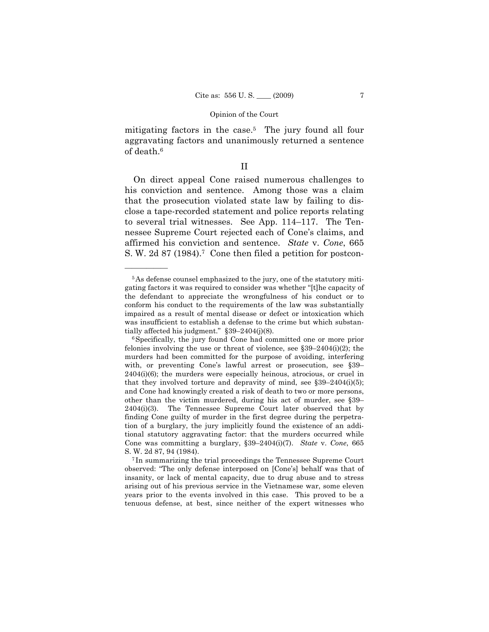mitigating factors in the case.<sup>5</sup> The jury found all four aggravating factors and unanimously returned a sentence of death.6

# II

 On direct appeal Cone raised numerous challenges to his conviction and sentence. Among those was a claim that the prosecution violated state law by failing to disclose a tape-recorded statement and police reports relating to several trial witnesses. See App. 114–117. The Tennessee Supreme Court rejected each of Cone's claims, and affirmed his conviction and sentence. *State* v. *Cone*, 665 S. W. 2d 87 (1984).<sup>7</sup> Cone then filed a petition for postcon-

<sup>5</sup>As defense counsel emphasized to the jury, one of the statutory mitigating factors it was required to consider was whether "[t]he capacity of the defendant to appreciate the wrongfulness of his conduct or to conform his conduct to the requirements of the law was substantially impaired as a result of mental disease or defect or intoxication which was insufficient to establish a defense to the crime but which substantially affected his judgment."  $\S 39-2404(j)(8)$ .<br><sup>6</sup>Specifically, the jury found Cone had committed one or more prior

felonies involving the use or threat of violence, see  $$39-2404(i)(2)$ ; the murders had been committed for the purpose of avoiding, interfering with, or preventing Cone's lawful arrest or prosecution, see §39–  $2404(i)(6)$ ; the murders were especially heinous, atrocious, or cruel in that they involved torture and depravity of mind, see  $$39-2404(i)(5);$ and Cone had knowingly created a risk of death to two or more persons, other than the victim murdered, during his act of murder, see §39– 2404(i)(3). The Tennessee Supreme Court later observed that by finding Cone guilty of murder in the first degree during the perpetration of a burglary, the jury implicitly found the existence of an additional statutory aggravating factor: that the murders occurred while Cone was committing a burglary, §39–2404(i)(7). *State* v. *Cone*, 665

S. W. 2d 87, 94 (1984). 7 In summarizing the trial proceedings the Tennessee Supreme Court observed: "The only defense interposed on [Cone's] behalf was that of insanity, or lack of mental capacity, due to drug abuse and to stress arising out of his previous service in the Vietnamese war, some eleven years prior to the events involved in this case. This proved to be a tenuous defense, at best, since neither of the expert witnesses who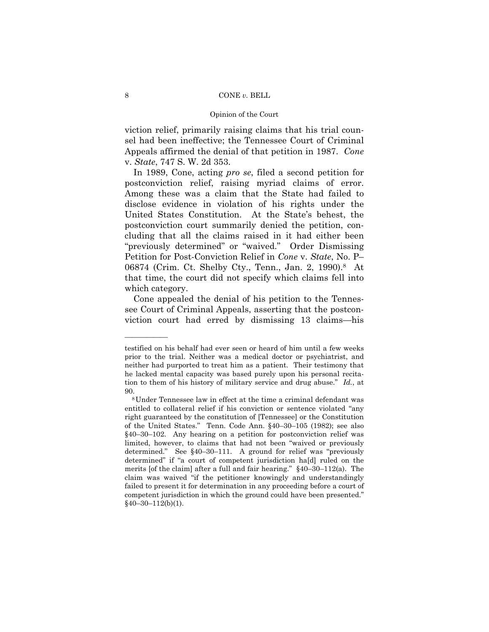### Opinion of the Court

viction relief, primarily raising claims that his trial counsel had been ineffective; the Tennessee Court of Criminal Appeals affirmed the denial of that petition in 1987. *Cone* v. *State*, 747 S. W. 2d 353.

 In 1989, Cone, acting *pro se*, filed a second petition for postconviction relief, raising myriad claims of error. Among these was a claim that the State had failed to disclose evidence in violation of his rights under the United States Constitution. At the State's behest, the postconviction court summarily denied the petition, concluding that all the claims raised in it had either been "previously determined" or "waived." Order Dismissing Petition for Post-Conviction Relief in *Cone* v. *State*, No. P– 06874 (Crim. Ct. Shelby Cty., Tenn., Jan. 2, 1990).8 At that time, the court did not specify which claims fell into which category.

 Cone appealed the denial of his petition to the Tennessee Court of Criminal Appeals, asserting that the postconviction court had erred by dismissing 13 claims—his

testified on his behalf had ever seen or heard of him until a few weeks prior to the trial. Neither was a medical doctor or psychiatrist, and neither had purported to treat him as a patient. Their testimony that he lacked mental capacity was based purely upon his personal recitation to them of his history of military service and drug abuse." *Id.*, at

<sup>90. 8</sup>Under Tennessee law in effect at the time a criminal defendant was entitled to collateral relief if his conviction or sentence violated "any right guaranteed by the constitution of [Tennessee] or the Constitution of the United States." Tenn. Code Ann. §40–30–105 (1982); see also §40–30–102. Any hearing on a petition for postconviction relief was limited, however, to claims that had not been "waived or previously determined." See §40–30–111. A ground for relief was "previously determined" if "a court of competent jurisdiction ha[d] ruled on the merits [of the claim] after a full and fair hearing." §40–30–112(a). The claim was waived "if the petitioner knowingly and understandingly failed to present it for determination in any proceeding before a court of competent jurisdiction in which the ground could have been presented."  $$40-30-112(b)(1).$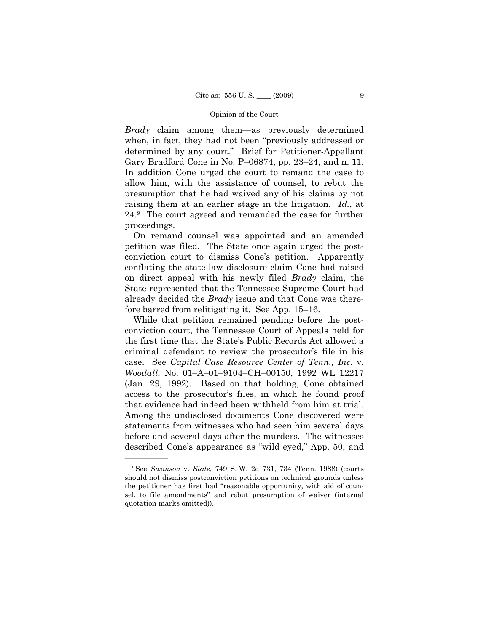*Brady* claim among them—as previously determined when, in fact, they had not been "previously addressed or determined by any court." Brief for Petitioner-Appellant Gary Bradford Cone in No. P–06874, pp. 23–24, and n. 11. In addition Cone urged the court to remand the case to allow him, with the assistance of counsel, to rebut the presumption that he had waived any of his claims by not raising them at an earlier stage in the litigation. *Id.*, at 24.9 The court agreed and remanded the case for further proceedings.

 On remand counsel was appointed and an amended petition was filed. The State once again urged the postconviction court to dismiss Cone's petition. Apparently conflating the state-law disclosure claim Cone had raised on direct appeal with his newly filed *Brady* claim, the State represented that the Tennessee Supreme Court had already decided the *Brady* issue and that Cone was therefore barred from relitigating it. See App. 15–16.

 While that petition remained pending before the postconviction court, the Tennessee Court of Appeals held for the first time that the State's Public Records Act allowed a criminal defendant to review the prosecutor's file in his case. See *Capital Case Resource Center of Tenn., Inc.* v. *Woodall,* No. 01–A–01–9104–CH–00150, 1992 WL 12217 (Jan. 29, 1992). Based on that holding, Cone obtained access to the prosecutor's files, in which he found proof that evidence had indeed been withheld from him at trial. Among the undisclosed documents Cone discovered were statements from witnesses who had seen him several days before and several days after the murders. The witnesses described Cone's appearance as "wild eyed," App. 50, and

<sup>9</sup>See *Swanson* v. *State*, 749 S. W. 2d 731, 734 (Tenn. 1988) (courts should not dismiss postconviction petitions on technical grounds unless the petitioner has first had "reasonable opportunity, with aid of counsel, to file amendments" and rebut presumption of waiver (internal quotation marks omitted)).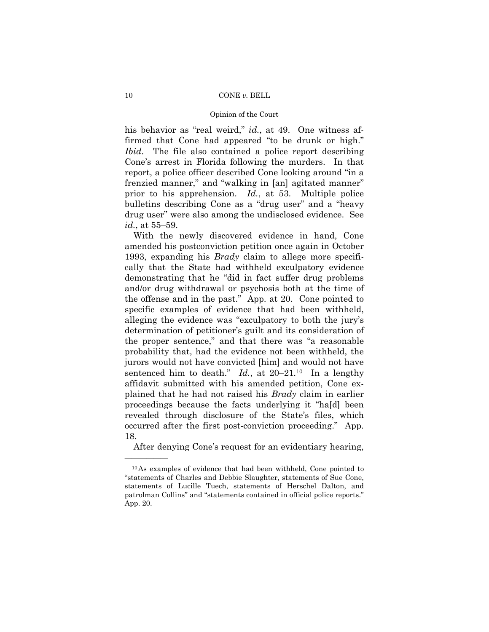his behavior as "real weird," *id.*, at 49. One witness affirmed that Cone had appeared "to be drunk or high." *Ibid*. The file also contained a police report describing Cone's arrest in Florida following the murders. In that report, a police officer described Cone looking around "in a frenzied manner," and "walking in [an] agitated manner" prior to his apprehension. *Id.*, at 53. Multiple police bulletins describing Cone as a "drug user" and a "heavy drug user" were also among the undisclosed evidence. See *id.*, at 55–59.

 With the newly discovered evidence in hand, Cone amended his postconviction petition once again in October 1993, expanding his *Brady* claim to allege more specifically that the State had withheld exculpatory evidence demonstrating that he "did in fact suffer drug problems and/or drug withdrawal or psychosis both at the time of the offense and in the past." App. at 20. Cone pointed to specific examples of evidence that had been withheld, alleging the evidence was "exculpatory to both the jury's determination of petitioner's guilt and its consideration of the proper sentence," and that there was "a reasonable probability that, had the evidence not been withheld, the jurors would not have convicted [him] and would not have sentenced him to death." *Id.*, at 20–21*.*10 In a lengthy affidavit submitted with his amended petition, Cone explained that he had not raised his *Brady* claim in earlier proceedings because the facts underlying it "ha[d] been revealed through disclosure of the State's files, which occurred after the first post-conviction proceeding." App. 18.

After denying Cone's request for an evidentiary hearing,

<sup>10</sup>As examples of evidence that had been withheld, Cone pointed to "statements of Charles and Debbie Slaughter, statements of Sue Cone, statements of Lucille Tuech, statements of Herschel Dalton, and patrolman Collins" and "statements contained in official police reports." App. 20.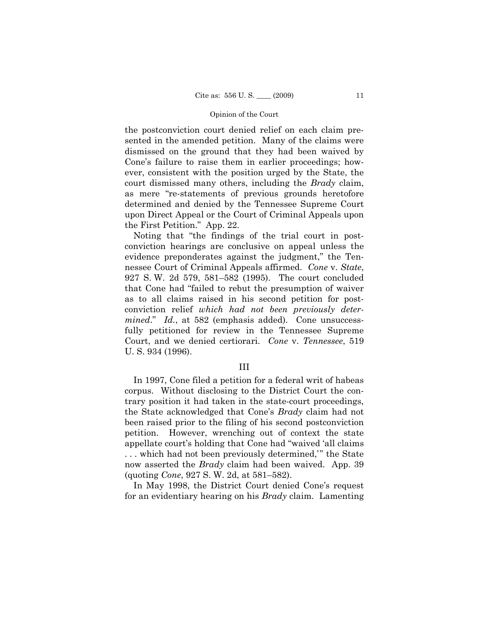the postconviction court denied relief on each claim presented in the amended petition. Many of the claims were dismissed on the ground that they had been waived by Cone's failure to raise them in earlier proceedings; however, consistent with the position urged by the State, the court dismissed many others, including the *Brady* claim, as mere "re-statements of previous grounds heretofore determined and denied by the Tennessee Supreme Court upon Direct Appeal or the Court of Criminal Appeals upon the First Petition." App. 22.

 Noting that "the findings of the trial court in postconviction hearings are conclusive on appeal unless the evidence preponderates against the judgment," the Tennessee Court of Criminal Appeals affirmed. *Cone* v. *State*, 927 S. W. 2d 579, 581–582 (1995). The court concluded that Cone had "failed to rebut the presumption of waiver as to all claims raised in his second petition for postconviction relief *which had not been previously determined.*" *Id.*, at 582 (emphasis added). Cone unsuccessfully petitioned for review in the Tennessee Supreme Court, and we denied certiorari. *Cone* v. *Tennessee*, 519 U. S. 934 (1996).

# III

 In 1997, Cone filed a petition for a federal writ of habeas corpus. Without disclosing to the District Court the contrary position it had taken in the state-court proceedings, the State acknowledged that Cone's *Brady* claim had not been raised prior to the filing of his second postconviction petition. However, wrenching out of context the state appellate court's holding that Cone had "waived 'all claims . . . which had not been previously determined,'" the State now asserted the *Brady* claim had been waived. App. 39 (quoting *Cone*, 927 S. W. 2d, at 581–582).

 In May 1998, the District Court denied Cone's request for an evidentiary hearing on his *Brady* claim. Lamenting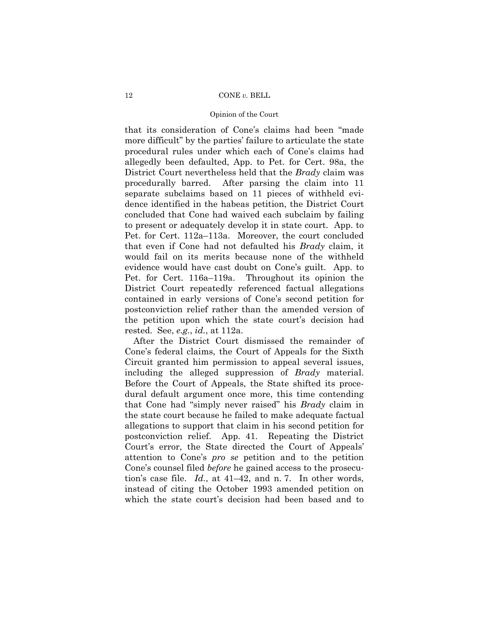# Opinion of the Court

that its consideration of Cone's claims had been "made more difficult" by the parties' failure to articulate the state procedural rules under which each of Cone's claims had allegedly been defaulted, App. to Pet. for Cert. 98a, the District Court nevertheless held that the *Brady* claim was procedurally barred. After parsing the claim into 11 separate subclaims based on 11 pieces of withheld evidence identified in the habeas petition, the District Court concluded that Cone had waived each subclaim by failing to present or adequately develop it in state court. App. to Pet. for Cert. 112a–113a. Moreover, the court concluded that even if Cone had not defaulted his *Brady* claim, it would fail on its merits because none of the withheld evidence would have cast doubt on Cone's guilt. App. to Pet. for Cert. 116a–119a. Throughout its opinion the District Court repeatedly referenced factual allegations contained in early versions of Cone's second petition for postconviction relief rather than the amended version of the petition upon which the state court's decision had rested. See, *e.g.*, *id.*, at 112a.

 After the District Court dismissed the remainder of Cone's federal claims, the Court of Appeals for the Sixth Circuit granted him permission to appeal several issues, including the alleged suppression of *Brady* material. Before the Court of Appeals, the State shifted its procedural default argument once more, this time contending that Cone had "simply never raised" his *Brady* claim in the state court because he failed to make adequate factual allegations to support that claim in his second petition for postconviction relief. App. 41. Repeating the District Court's error, the State directed the Court of Appeals' attention to Cone's *pro se* petition and to the petition Cone's counsel filed *before* he gained access to the prosecution's case file. *Id.*, at 41–42, and n. 7. In other words, instead of citing the October 1993 amended petition on which the state court's decision had been based and to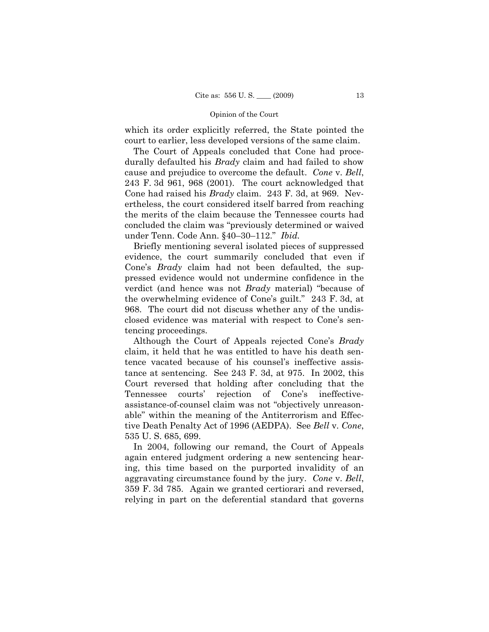which its order explicitly referred, the State pointed the court to earlier, less developed versions of the same claim.

 The Court of Appeals concluded that Cone had procedurally defaulted his *Brady* claim and had failed to show cause and prejudice to overcome the default. *Cone* v. *Bell*, 243 F. 3d 961, 968 (2001). The court acknowledged that Cone had raised his *Brady* claim. 243 F. 3d, at 969. Nevertheless, the court considered itself barred from reaching the merits of the claim because the Tennessee courts had concluded the claim was "previously determined or waived under Tenn. Code Ann. §40–30–112." *Ibid.*

 Briefly mentioning several isolated pieces of suppressed evidence, the court summarily concluded that even if Cone's *Brady* claim had not been defaulted, the suppressed evidence would not undermine confidence in the verdict (and hence was not *Brady* material) "because of the overwhelming evidence of Cone's guilt." 243 F. 3d, at 968. The court did not discuss whether any of the undisclosed evidence was material with respect to Cone's sentencing proceedings.

 Although the Court of Appeals rejected Cone's *Brady* claim, it held that he was entitled to have his death sentence vacated because of his counsel's ineffective assistance at sentencing. See 243 F. 3d, at 975. In 2002, this Court reversed that holding after concluding that the Tennessee courts' rejection of Cone's ineffectiveassistance-of-counsel claim was not "objectively unreasonable" within the meaning of the Antiterrorism and Effective Death Penalty Act of 1996 (AEDPA). See *Bell* v. *Cone*, 535 U. S. 685, 699.

 In 2004, following our remand, the Court of Appeals again entered judgment ordering a new sentencing hearing, this time based on the purported invalidity of an aggravating circumstance found by the jury. *Cone* v. *Bell*, 359 F. 3d 785. Again we granted certiorari and reversed, relying in part on the deferential standard that governs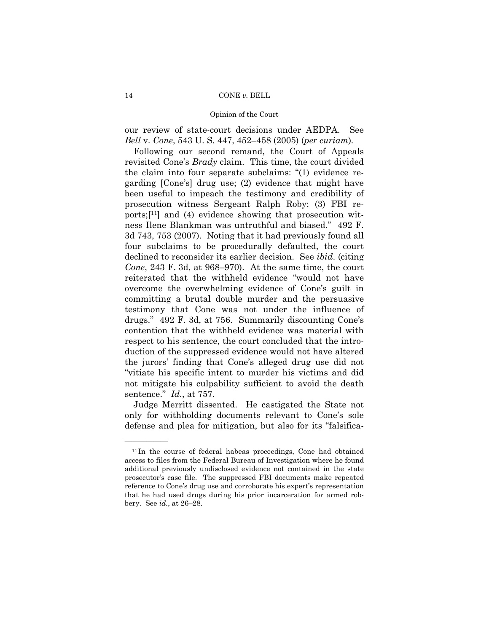our review of state-court decisions under AEDPA. See *Bell* v. *Cone*, 543 U. S. 447, 452–458 (2005) (*per curiam*)*.*

 Following our second remand, the Court of Appeals revisited Cone's *Brady* claim. This time, the court divided the claim into four separate subclaims: "(1) evidence regarding [Cone's] drug use; (2) evidence that might have been useful to impeach the testimony and credibility of prosecution witness Sergeant Ralph Roby; (3) FBI reports;[11] and (4) evidence showing that prosecution witness Ilene Blankman was untruthful and biased." 492 F. 3d 743, 753 (2007). Noting that it had previously found all four subclaims to be procedurally defaulted, the court declined to reconsider its earlier decision. See *ibid*. (citing *Cone*, 243 F. 3d, at 968–970). At the same time, the court reiterated that the withheld evidence "would not have overcome the overwhelming evidence of Cone's guilt in committing a brutal double murder and the persuasive testimony that Cone was not under the influence of drugs." 492 F. 3d, at 756. Summarily discounting Cone's contention that the withheld evidence was material with respect to his sentence, the court concluded that the introduction of the suppressed evidence would not have altered the jurors' finding that Cone's alleged drug use did not "vitiate his specific intent to murder his victims and did not mitigate his culpability sufficient to avoid the death sentence." *Id.*, at 757.

 Judge Merritt dissented. He castigated the State not only for withholding documents relevant to Cone's sole defense and plea for mitigation, but also for its "falsifica-

<sup>&</sup>lt;sup>11</sup>In the course of federal habeas proceedings, Cone had obtained access to files from the Federal Bureau of Investigation where he found additional previously undisclosed evidence not contained in the state prosecutor's case file. The suppressed FBI documents make repeated reference to Cone's drug use and corroborate his expert's representation that he had used drugs during his prior incarceration for armed robbery. See *id.*, at 26–28.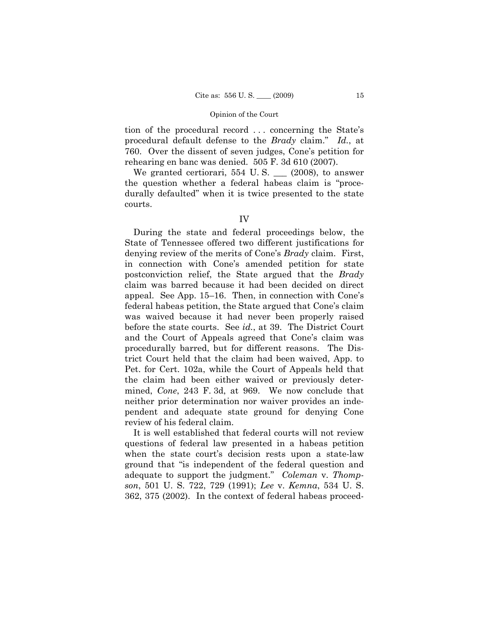tion of the procedural record . . . concerning the State's procedural default defense to the *Brady* claim." *Id.*, at 760. Over the dissent of seven judges, Cone's petition for rehearing en banc was denied. 505 F. 3d 610 (2007).

We granted certiorari,  $554$  U.S.  $\_\_$  (2008), to answer the question whether a federal habeas claim is "procedurally defaulted" when it is twice presented to the state courts.

 During the state and federal proceedings below, the State of Tennessee offered two different justifications for denying review of the merits of Cone's *Brady* claim. First, in connection with Cone's amended petition for state postconviction relief, the State argued that the *Brady*  claim was barred because it had been decided on direct appeal. See App. 15–16. Then, in connection with Cone's federal habeas petition, the State argued that Cone's claim was waived because it had never been properly raised before the state courts. See *id.*, at 39. The District Court and the Court of Appeals agreed that Cone's claim was procedurally barred, but for different reasons. The District Court held that the claim had been waived, App. to Pet. for Cert. 102a, while the Court of Appeals held that the claim had been either waived or previously determined, *Cone*, 243 F. 3d, at 969. We now conclude that neither prior determination nor waiver provides an independent and adequate state ground for denying Cone review of his federal claim.

 It is well established that federal courts will not review questions of federal law presented in a habeas petition when the state court's decision rests upon a state-law ground that "is independent of the federal question and adequate to support the judgment." *Coleman* v. *Thompson*, 501 U. S. 722, 729 (1991); *Lee* v. *Kemna*, 534 U. S. 362, 375 (2002). In the context of federal habeas proceed-

IV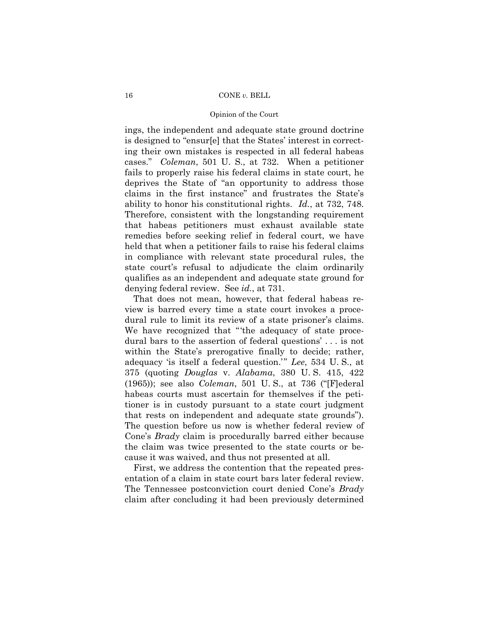# Opinion of the Court

ings, the independent and adequate state ground doctrine is designed to "ensur[e] that the States' interest in correcting their own mistakes is respected in all federal habeas cases." *Coleman*, 501 U. S., at 732. When a petitioner fails to properly raise his federal claims in state court, he deprives the State of "an opportunity to address those claims in the first instance" and frustrates the State's ability to honor his constitutional rights. *Id.*, at 732, 748. Therefore, consistent with the longstanding requirement that habeas petitioners must exhaust available state remedies before seeking relief in federal court, we have held that when a petitioner fails to raise his federal claims in compliance with relevant state procedural rules, the state court's refusal to adjudicate the claim ordinarily qualifies as an independent and adequate state ground for denying federal review. See *id.*, at 731.

 That does not mean, however, that federal habeas review is barred every time a state court invokes a procedural rule to limit its review of a state prisoner's claims. We have recognized that "'the adequacy of state procedural bars to the assertion of federal questions' . . . is not within the State's prerogative finally to decide; rather, adequacy 'is itself a federal question.'" *Lee*, 534 U. S., at 375 (quoting *Douglas* v. *Alabama*, 380 U. S. 415, 422 (1965)); see also *Coleman*, 501 U. S., at 736 ("[F]ederal habeas courts must ascertain for themselves if the petitioner is in custody pursuant to a state court judgment that rests on independent and adequate state grounds"). The question before us now is whether federal review of Cone's *Brady* claim is procedurally barred either because the claim was twice presented to the state courts or because it was waived, and thus not presented at all.

 First, we address the contention that the repeated presentation of a claim in state court bars later federal review. The Tennessee postconviction court denied Cone's *Brady* claim after concluding it had been previously determined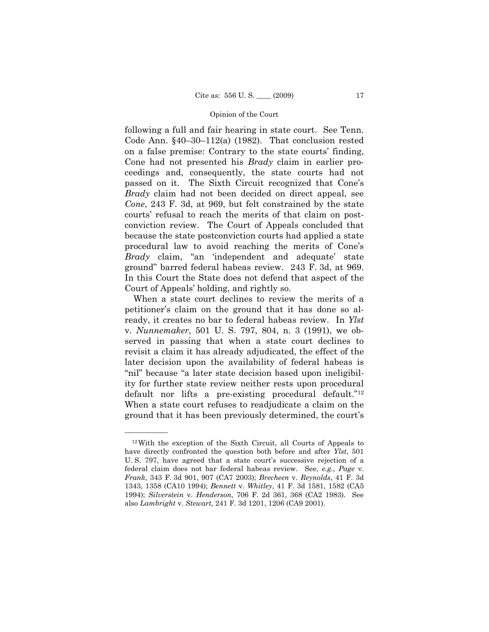following a full and fair hearing in state court. See Tenn. Code Ann. §40–30–112(a) (1982). That conclusion rested on a false premise: Contrary to the state courts' finding, Cone had not presented his *Brady* claim in earlier proceedings and, consequently, the state courts had not passed on it. The Sixth Circuit recognized that Cone's *Brady* claim had not been decided on direct appeal, see *Cone*, 243 F. 3d, at 969, but felt constrained by the state courts' refusal to reach the merits of that claim on postconviction review. The Court of Appeals concluded that because the state postconviction courts had applied a state procedural law to avoid reaching the merits of Cone's *Brady* claim, "an 'independent and adequate' state ground" barred federal habeas review. 243 F. 3d, at 969. In this Court the State does not defend that aspect of the Court of Appeals' holding, and rightly so.

 When a state court declines to review the merits of a petitioner's claim on the ground that it has done so already, it creates no bar to federal habeas review. In *Ylst* v. *Nunnemaker*, 501 U. S. 797, 804, n. 3 (1991), we observed in passing that when a state court declines to revisit a claim it has already adjudicated, the effect of the later decision upon the availability of federal habeas is "nil" because "a later state decision based upon ineligibility for further state review neither rests upon procedural default nor lifts a pre-existing procedural default."<sup>12</sup> When a state court refuses to readjudicate a claim on the ground that it has been previously determined, the court's

<sup>12</sup>With the exception of the Sixth Circuit, all Courts of Appeals to have directly confronted the question both before and after *Ylst*, 501 U. S. 797, have agreed that a state court's successive rejection of a federal claim does not bar federal habeas review. See, *e.g.*, *Page* v. *Frank*, 343 F. 3d 901, 907 (CA7 2003); *Brecheen* v. *Reynolds*, 41 F. 3d 1343, 1358 (CA10 1994); *Bennett* v. *Whitley*, 41 F. 3d 1581, 1582 (CA5 1994); *Silverstein* v. *Henderson*, 706 F. 2d 361, 368 (CA2 1983). See also *Lambright* v. *Stewart*, 241 F. 3d 1201, 1206 (CA9 2001).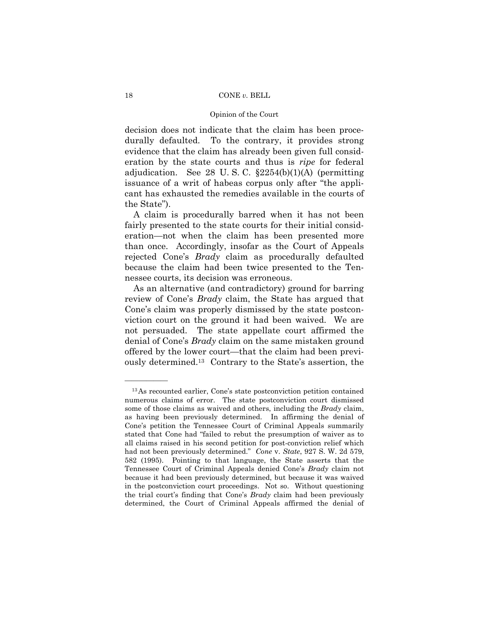# Opinion of the Court

decision does not indicate that the claim has been procedurally defaulted. To the contrary, it provides strong evidence that the claim has already been given full consideration by the state courts and thus is *ripe* for federal adjudication. See 28 U.S.C.  $\S2254(b)(1)(A)$  (permitting issuance of a writ of habeas corpus only after "the applicant has exhausted the remedies available in the courts of the State").

 A claim is procedurally barred when it has not been fairly presented to the state courts for their initial consideration—not when the claim has been presented more than once. Accordingly, insofar as the Court of Appeals rejected Cone's *Brady* claim as procedurally defaulted because the claim had been twice presented to the Tennessee courts, its decision was erroneous.

 As an alternative (and contradictory) ground for barring review of Cone's *Brady* claim, the State has argued that Cone's claim was properly dismissed by the state postconviction court on the ground it had been waived. We are not persuaded. The state appellate court affirmed the denial of Cone's *Brady* claim on the same mistaken ground offered by the lower court—that the claim had been previously determined.13 Contrary to the State's assertion, the

<sup>13</sup>As recounted earlier, Cone's state postconviction petition contained numerous claims of error. The state postconviction court dismissed some of those claims as waived and others, including the *Brady* claim, as having been previously determined. In affirming the denial of Cone's petition the Tennessee Court of Criminal Appeals summarily stated that Cone had "failed to rebut the presumption of waiver as to all claims raised in his second petition for post-conviction relief which had not been previously determined." *Cone* v. *State*, 927 S. W. 2d 579, 582 (1995). Pointing to that language, the State asserts that the Tennessee Court of Criminal Appeals denied Cone's *Brady* claim not because it had been previously determined, but because it was waived in the postconviction court proceedings. Not so. Without questioning the trial court's finding that Cone's *Brady* claim had been previously determined, the Court of Criminal Appeals affirmed the denial of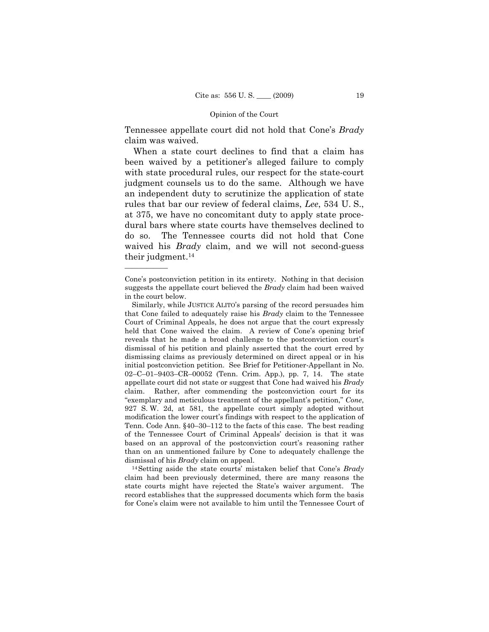Tennessee appellate court did not hold that Cone's *Brady*  claim was waived.

 When a state court declines to find that a claim has been waived by a petitioner's alleged failure to comply with state procedural rules, our respect for the state-court judgment counsels us to do the same. Although we have an independent duty to scrutinize the application of state rules that bar our review of federal claims, *Lee*, 534 U. S., at 375, we have no concomitant duty to apply state procedural bars where state courts have themselves declined to do so. The Tennessee courts did not hold that Cone waived his *Brady* claim, and we will not second-guess their judgment.14

——————

dismissal of his *Brady* claim on appeal. 14Setting aside the state courts' mistaken belief that Cone's *Brady* claim had been previously determined, there are many reasons the state courts might have rejected the State's waiver argument. The record establishes that the suppressed documents which form the basis for Cone's claim were not available to him until the Tennessee Court of

Cone's postconviction petition in its entirety. Nothing in that decision suggests the appellate court believed the *Brady* claim had been waived in the court below.

Similarly, while JUSTICE ALITO's parsing of the record persuades him that Cone failed to adequately raise his *Brady* claim to the Tennessee Court of Criminal Appeals, he does not argue that the court expressly held that Cone waived the claim. A review of Cone's opening brief reveals that he made a broad challenge to the postconviction court's dismissal of his petition and plainly asserted that the court erred by dismissing claims as previously determined on direct appeal or in his initial postconviction petition. See Brief for Petitioner-Appellant in No. 02–C–01–9403–CR–00052 (Tenn. Crim. App.), pp. 7, 14. The state appellate court did not state or suggest that Cone had waived his *Brady* claim. Rather, after commending the postconviction court for its "exemplary and meticulous treatment of the appellant's petition," *Cone*, 927 S. W. 2d, at 581, the appellate court simply adopted without modification the lower court's findings with respect to the application of Tenn. Code Ann. §40–30–112 to the facts of this case. The best reading of the Tennessee Court of Criminal Appeals' decision is that it was based on an approval of the postconviction court's reasoning rather than on an unmentioned failure by Cone to adequately challenge the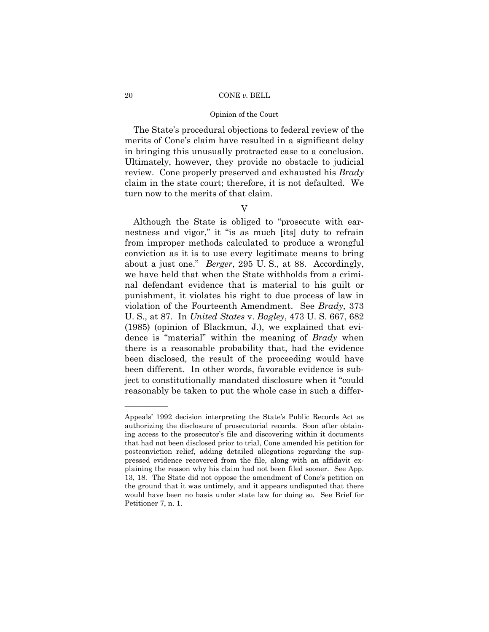# Opinion of the Court

 The State's procedural objections to federal review of the merits of Cone's claim have resulted in a significant delay in bringing this unusually protracted case to a conclusion. Ultimately, however, they provide no obstacle to judicial review. Cone properly preserved and exhausted his *Brady*  claim in the state court; therefore, it is not defaulted. We turn now to the merits of that claim.

# V

 Although the State is obliged to "prosecute with earnestness and vigor," it "is as much [its] duty to refrain from improper methods calculated to produce a wrongful conviction as it is to use every legitimate means to bring about a just one." *Berger*, 295 U. S., at 88. Accordingly, we have held that when the State withholds from a criminal defendant evidence that is material to his guilt or punishment, it violates his right to due process of law in violation of the Fourteenth Amendment. See *Brady*, 373 U. S., at 87. In *United States* v. *Bagley*, 473 U. S. 667, 682 (1985) (opinion of Blackmun, J.), we explained that evidence is "material" within the meaning of *Brady* when there is a reasonable probability that, had the evidence been disclosed, the result of the proceeding would have been different. In other words, favorable evidence is subject to constitutionally mandated disclosure when it "could reasonably be taken to put the whole case in such a differ-

Appeals' 1992 decision interpreting the State's Public Records Act as authorizing the disclosure of prosecutorial records. Soon after obtaining access to the prosecutor's file and discovering within it documents that had not been disclosed prior to trial, Cone amended his petition for postconviction relief, adding detailed allegations regarding the suppressed evidence recovered from the file, along with an affidavit explaining the reason why his claim had not been filed sooner. See App. 13, 18. The State did not oppose the amendment of Cone's petition on the ground that it was untimely, and it appears undisputed that there would have been no basis under state law for doing so. See Brief for Petitioner 7, n. 1.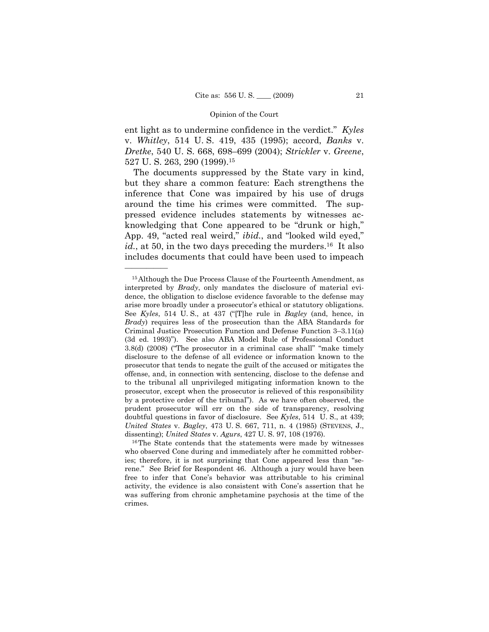ent light as to undermine confidence in the verdict." *Kyles* v. *Whitley*, 514 U. S. 419, 435 (1995); accord, *Banks* v. *Dretke*, 540 U. S. 668, 698–699 (2004); *Strickler* v. *Greene*, 527 U. S. 263, 290 (1999).15

 The documents suppressed by the State vary in kind, but they share a common feature: Each strengthens the inference that Cone was impaired by his use of drugs around the time his crimes were committed. The suppressed evidence includes statements by witnesses acknowledging that Cone appeared to be "drunk or high," App. 49, "acted real weird," *ibid.*, and "looked wild eyed," *id.*, at 50, in the two days preceding the murders.<sup>16</sup> It also includes documents that could have been used to impeach

<sup>15</sup>Although the Due Process Clause of the Fourteenth Amendment, as interpreted by *Brady*, only mandates the disclosure of material evidence, the obligation to disclose evidence favorable to the defense may arise more broadly under a prosecutor's ethical or statutory obligations. See *Kyles*, 514 U. S., at 437 ("[T]he rule in *Bagley* (and, hence, in *Brady*) requires less of the prosecution than the ABA Standards for Criminal Justice Prosecution Function and Defense Function 3–3.11(a) (3d ed. 1993)"). See also ABA Model Rule of Professional Conduct 3.8(d) (2008) ("The prosecutor in a criminal case shall" "make timely disclosure to the defense of all evidence or information known to the prosecutor that tends to negate the guilt of the accused or mitigates the offense, and, in connection with sentencing, disclose to the defense and to the tribunal all unprivileged mitigating information known to the prosecutor, except when the prosecutor is relieved of this responsibility by a protective order of the tribunal"). As we have often observed, the prudent prosecutor will err on the side of transparency, resolving doubtful questions in favor of disclosure. See *Kyles*, 514 U. S., at 439; *United States* v. *Bagley*, 473 U. S. 667, 711, n. 4 (1985) (STEVENS, J., dissenting); *United States* v. *Agurs*, 427 U. S. 97, 108 (1976).<br><sup>16</sup>The State contends that the statements were made by witnesses

who observed Cone during and immediately after he committed robberies; therefore, it is not surprising that Cone appeared less than "serene." See Brief for Respondent 46. Although a jury would have been free to infer that Cone's behavior was attributable to his criminal activity, the evidence is also consistent with Cone's assertion that he was suffering from chronic amphetamine psychosis at the time of the crimes.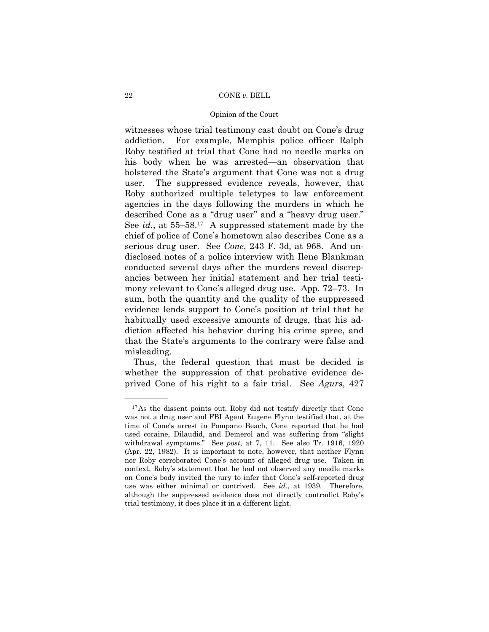# Opinion of the Court

witnesses whose trial testimony cast doubt on Cone's drug addiction. For example, Memphis police officer Ralph Roby testified at trial that Cone had no needle marks on his body when he was arrested—an observation that bolstered the State's argument that Cone was not a drug user. The suppressed evidence reveals, however, that Roby authorized multiple teletypes to law enforcement agencies in the days following the murders in which he described Cone as a "drug user" and a "heavy drug user." See *id.*, at 55–58.17 A suppressed statement made by the chief of police of Cone's hometown also describes Cone as a serious drug user. See *Cone*, 243 F. 3d, at 968. And undisclosed notes of a police interview with Ilene Blankman conducted several days after the murders reveal discrepancies between her initial statement and her trial testimony relevant to Cone's alleged drug use. App. 72–73. In sum, both the quantity and the quality of the suppressed evidence lends support to Cone's position at trial that he habitually used excessive amounts of drugs, that his addiction affected his behavior during his crime spree, and that the State's arguments to the contrary were false and misleading.

 Thus, the federal question that must be decided is whether the suppression of that probative evidence deprived Cone of his right to a fair trial. See *Agurs*, 427

<sup>17</sup>As the dissent points out, Roby did not testify directly that Cone was not a drug user and FBI Agent Eugene Flynn testified that, at the time of Cone's arrest in Pompano Beach, Cone reported that he had used cocaine, Dilaudid, and Demerol and was suffering from "slight withdrawal symptoms." See *post*, at 7, 11. See also Tr. 1916, 1920 (Apr. 22, 1982). It is important to note, however, that neither Flynn nor Roby corroborated Cone's account of alleged drug use. Taken in context, Roby's statement that he had not observed any needle marks on Cone's body invited the jury to infer that Cone's self-reported drug use was either minimal or contrived. See *id.*, at 1939. Therefore, although the suppressed evidence does not directly contradict Roby's trial testimony, it does place it in a different light.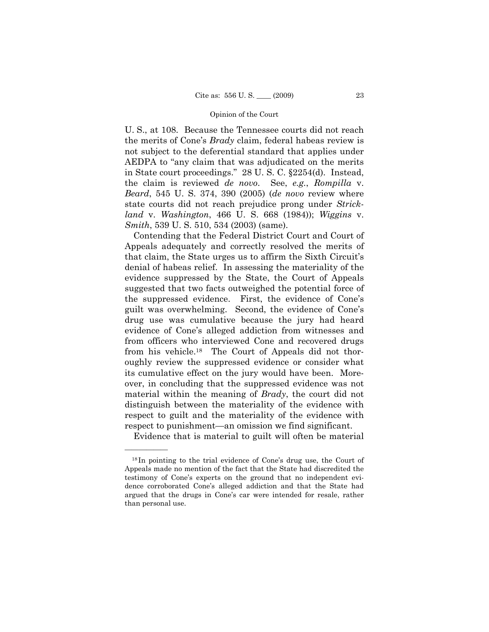U. S., at 108. Because the Tennessee courts did not reach the merits of Cone's *Brady* claim, federal habeas review is not subject to the deferential standard that applies under AEDPA to "any claim that was adjudicated on the merits in State court proceedings." 28 U. S. C. §2254(d). Instead, the claim is reviewed *de novo*. See, *e.g.*, *Rompilla* v. *Beard*, 545 U. S. 374, 390 (2005) (*de novo* review where state courts did not reach prejudice prong under *Strickland* v. *Washington*, 466 U. S. 668 (1984)); *Wiggins* v. *Smith*, 539 U. S. 510, 534 (2003) (same).

 Contending that the Federal District Court and Court of Appeals adequately and correctly resolved the merits of that claim, the State urges us to affirm the Sixth Circuit's denial of habeas relief. In assessing the materiality of the evidence suppressed by the State, the Court of Appeals suggested that two facts outweighed the potential force of the suppressed evidence. First, the evidence of Cone's guilt was overwhelming. Second, the evidence of Cone's drug use was cumulative because the jury had heard evidence of Cone's alleged addiction from witnesses and from officers who interviewed Cone and recovered drugs from his vehicle.18 The Court of Appeals did not thoroughly review the suppressed evidence or consider what its cumulative effect on the jury would have been. Moreover, in concluding that the suppressed evidence was not material within the meaning of *Brady*, the court did not distinguish between the materiality of the evidence with respect to guilt and the materiality of the evidence with respect to punishment—an omission we find significant.

Evidence that is material to guilt will often be material

<sup>18</sup> In pointing to the trial evidence of Cone's drug use, the Court of Appeals made no mention of the fact that the State had discredited the testimony of Cone's experts on the ground that no independent evidence corroborated Cone's alleged addiction and that the State had argued that the drugs in Cone's car were intended for resale, rather than personal use.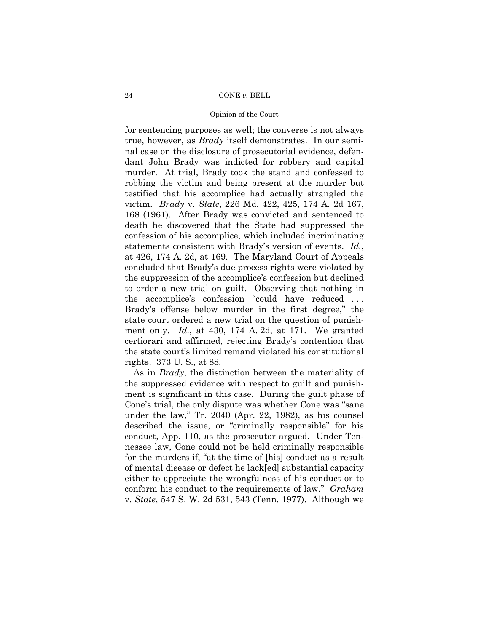# Opinion of the Court

for sentencing purposes as well; the converse is not always true, however, as *Brady* itself demonstrates. In our seminal case on the disclosure of prosecutorial evidence, defendant John Brady was indicted for robbery and capital murder. At trial, Brady took the stand and confessed to robbing the victim and being present at the murder but testified that his accomplice had actually strangled the victim. *Brady* v. *State*, 226 Md. 422, 425, 174 A. 2d 167, 168 (1961). After Brady was convicted and sentenced to death he discovered that the State had suppressed the confession of his accomplice, which included incriminating statements consistent with Brady's version of events. *Id.*, at 426, 174 A. 2d, at 169. The Maryland Court of Appeals concluded that Brady's due process rights were violated by the suppression of the accomplice's confession but declined to order a new trial on guilt. Observing that nothing in the accomplice's confession "could have reduced . . . Brady's offense below murder in the first degree," the state court ordered a new trial on the question of punishment only. *Id.*, at 430, 174 A. 2d, at 171. We granted certiorari and affirmed, rejecting Brady's contention that the state court's limited remand violated his constitutional rights. 373 U. S., at 88.

 As in *Brady*, the distinction between the materiality of the suppressed evidence with respect to guilt and punishment is significant in this case. During the guilt phase of Cone's trial, the only dispute was whether Cone was "sane under the law," Tr. 2040 (Apr. 22, 1982), as his counsel described the issue, or "criminally responsible" for his conduct, App. 110, as the prosecutor argued. Under Tennessee law, Cone could not be held criminally responsible for the murders if, "at the time of [his] conduct as a result of mental disease or defect he lack[ed] substantial capacity either to appreciate the wrongfulness of his conduct or to conform his conduct to the requirements of law." *Graham* v. *State*, 547 S. W. 2d 531, 543 (Tenn. 1977). Although we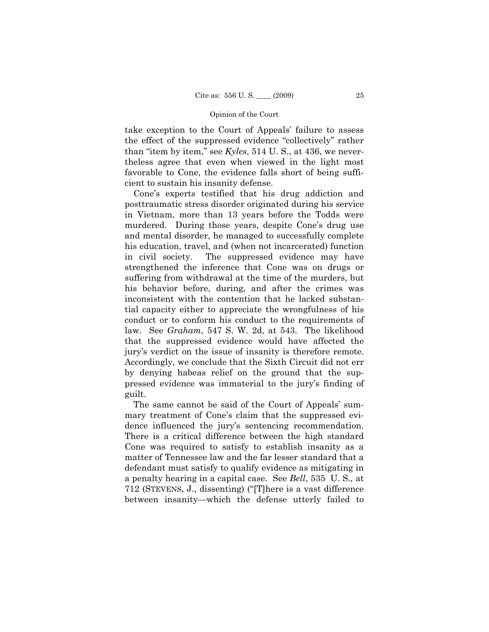take exception to the Court of Appeals' failure to assess the effect of the suppressed evidence "collectively" rather than "item by item," see *Kyles*, 514 U. S., at 436, we nevertheless agree that even when viewed in the light most favorable to Cone, the evidence falls short of being sufficient to sustain his insanity defense.

 Cone's experts testified that his drug addiction and posttraumatic stress disorder originated during his service in Vietnam, more than 13 years before the Todds were murdered. During those years, despite Cone's drug use and mental disorder, he managed to successfully complete his education, travel, and (when not incarcerated) function in civil society. The suppressed evidence may have strengthened the inference that Cone was on drugs or suffering from withdrawal at the time of the murders, but his behavior before, during, and after the crimes was inconsistent with the contention that he lacked substantial capacity either to appreciate the wrongfulness of his conduct or to conform his conduct to the requirements of law. See *Graham*, 547 S. W. 2d, at 543. The likelihood that the suppressed evidence would have affected the jury's verdict on the issue of insanity is therefore remote. Accordingly, we conclude that the Sixth Circuit did not err by denying habeas relief on the ground that the suppressed evidence was immaterial to the jury's finding of guilt.

 The same cannot be said of the Court of Appeals' summary treatment of Cone's claim that the suppressed evidence influenced the jury's sentencing recommendation. There is a critical difference between the high standard Cone was required to satisfy to establish insanity as a matter of Tennessee law and the far lesser standard that a defendant must satisfy to qualify evidence as mitigating in a penalty hearing in a capital case. See *Bell*, 535 U. S., at 712 (STEVENS, J., dissenting) ("[T]here is a vast difference between insanity—which the defense utterly failed to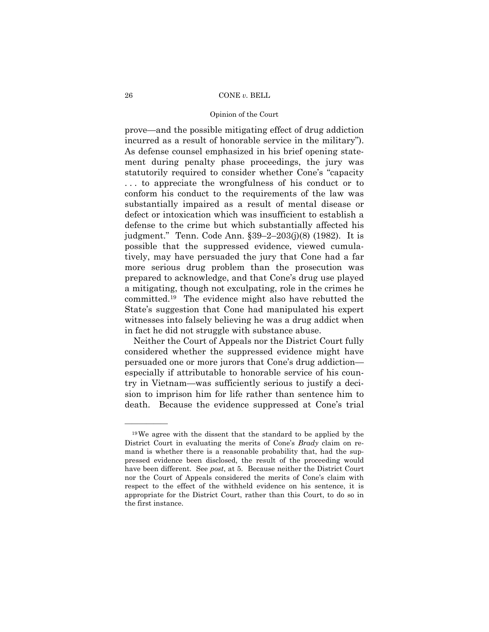# Opinion of the Court

prove—and the possible mitigating effect of drug addiction incurred as a result of honorable service in the military"). As defense counsel emphasized in his brief opening statement during penalty phase proceedings, the jury was statutorily required to consider whether Cone's "capacity . . . to appreciate the wrongfulness of his conduct or to conform his conduct to the requirements of the law was substantially impaired as a result of mental disease or defect or intoxication which was insufficient to establish a defense to the crime but which substantially affected his judgment." Tenn. Code Ann. §39–2–203(j)(8) (1982). It is possible that the suppressed evidence, viewed cumulatively, may have persuaded the jury that Cone had a far more serious drug problem than the prosecution was prepared to acknowledge, and that Cone's drug use played a mitigating, though not exculpating, role in the crimes he committed.19 The evidence might also have rebutted the State's suggestion that Cone had manipulated his expert witnesses into falsely believing he was a drug addict when in fact he did not struggle with substance abuse.

 Neither the Court of Appeals nor the District Court fully considered whether the suppressed evidence might have persuaded one or more jurors that Cone's drug addiction especially if attributable to honorable service of his country in Vietnam—was sufficiently serious to justify a decision to imprison him for life rather than sentence him to death. Because the evidence suppressed at Cone's trial

<sup>19</sup>We agree with the dissent that the standard to be applied by the District Court in evaluating the merits of Cone's *Brady* claim on remand is whether there is a reasonable probability that, had the suppressed evidence been disclosed, the result of the proceeding would have been different. See *post*, at 5. Because neither the District Court nor the Court of Appeals considered the merits of Cone's claim with respect to the effect of the withheld evidence on his sentence, it is appropriate for the District Court, rather than this Court, to do so in the first instance.